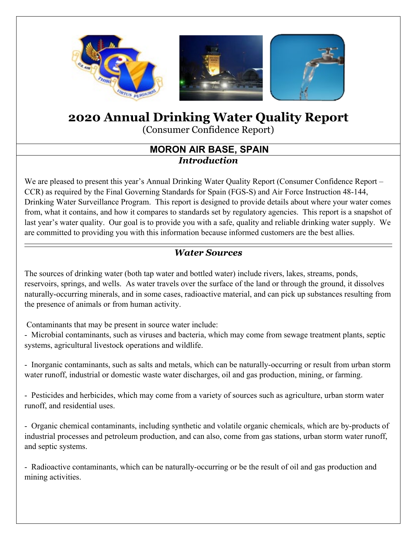

# **2020 Annual Drinking Water Quality Report**

(Consumer Confidence Report)

#### **MORON AIR BASE, SPAIN** *Introduction*

We are pleased to present this year's Annual Drinking Water Quality Report (Consumer Confidence Report – CCR) as required by the Final Governing Standards for Spain (FGS-S) and Air Force Instruction 48-144, Drinking Water Surveillance Program. This report is designed to provide details about where your water comes from, what it contains, and how it compares to standards set by regulatory agencies. This report is a snapshot of last year's water quality. Our goal is to provide you with a safe, quality and reliable drinking water supply. We are committed to providing you with this information because informed customers are the best allies.

#### *Water Sources*

The sources of drinking water (both tap water and bottled water) include rivers, lakes, streams, ponds, reservoirs, springs, and wells. As water travels over the surface of the land or through the ground, it dissolves naturally-occurring minerals, and in some cases, radioactive material, and can pick up substances resulting from the presence of animals or from human activity.

Contaminants that may be present in source water include:

- Microbial contaminants, such as viruses and bacteria, which may come from sewage treatment plants, septic systems, agricultural livestock operations and wildlife.

- Inorganic contaminants, such as salts and metals, which can be naturally-occurring or result from urban storm water runoff, industrial or domestic waste water discharges, oil and gas production, mining, or farming.

- Pesticides and herbicides, which may come from a variety of sources such as agriculture, urban storm water runoff, and residential uses.

- Organic chemical contaminants, including synthetic and volatile organic chemicals, which are by-products of industrial processes and petroleum production, and can also, come from gas stations, urban storm water runoff, and septic systems.

- Radioactive contaminants, which can be naturally-occurring or be the result of oil and gas production and mining activities.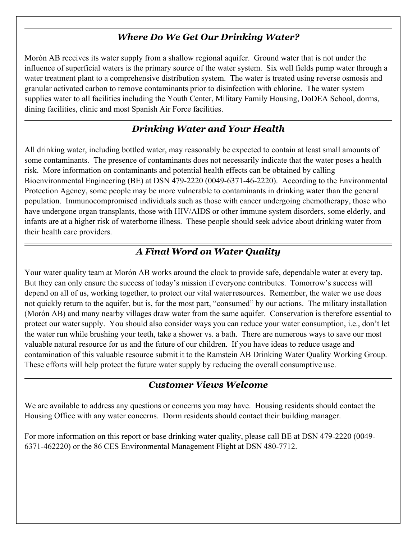#### *Where Do We Get Our Drinking Water?*

Morón AB receives its water supply from a shallow regional aquifer. Ground water that is not under the influence of superficial waters is the primary source of the water system. Six well fields pump water through a water treatment plant to a comprehensive distribution system. The water is treated using reverse osmosis and granular activated carbon to remove contaminants prior to disinfection with chlorine. The water system supplies water to all facilities including the Youth Center, Military Family Housing, DoDEA School, dorms, dining facilities, clinic and most Spanish Air Force facilities.

## *Drinking Water and Your Health*

All drinking water, including bottled water, may reasonably be expected to contain at least small amounts of some contaminants. The presence of contaminants does not necessarily indicate that the water poses a health risk. More information on contaminants and potential health effects can be obtained by calling Bioenvironmental Engineering (BE) at DSN 479-2220 (0049-6371-46-2220). According to the Environmental Protection Agency, some people may be more vulnerable to contaminants in drinking water than the general population. Immunocompromised individuals such as those with cancer undergoing chemotherapy, those who have undergone organ transplants, those with HIV/AIDS or other immune system disorders, some elderly, and infants are at a higher risk of waterborne illness. These people should seek advice about drinking water from their health care providers.

### *A Final Word on Water Quality*

Your water quality team at Morón AB works around the clock to provide safe, dependable water at every tap. But they can only ensure the success of today's mission if everyone contributes. Tomorrow's success will depend on all of us, working together, to protect our vital waterresources. Remember, the water we use does not quickly return to the aquifer, but is, for the most part, "consumed" by our actions. The military installation (Morón AB) and many nearby villages draw water from the same aquifer. Conservation is therefore essential to protect our watersupply. You should also consider ways you can reduce your water consumption, i.e., don't let the water run while brushing your teeth, take a shower vs. a bath. There are numerous ways to save our most valuable natural resource for us and the future of our children. If you have ideas to reduce usage and contamination of this valuable resource submit it to the Ramstein AB Drinking Water Quality Working Group. These efforts will help protect the future water supply by reducing the overall consumptive use.

#### *Customer Views Welcome*

We are available to address any questions or concerns you may have. Housing residents should contact the Housing Office with any water concerns. Dorm residents should contact their building manager.

For more information on this report or base drinking water quality, please call BE at DSN 479-2220 (0049- 6371-462220) or the 86 CES Environmental Management Flight at DSN 480-7712.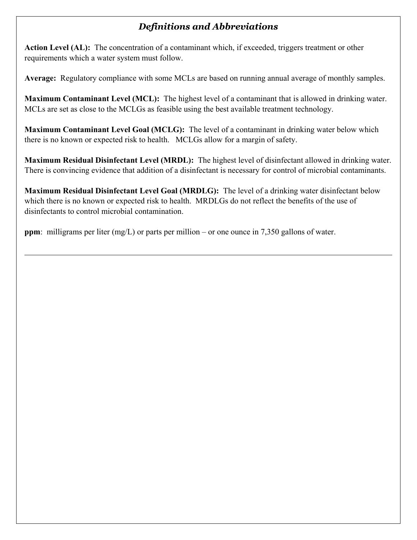#### *Definitions and Abbreviations*

**Action Level (AL):** The concentration of a contaminant which, if exceeded, triggers treatment or other requirements which a water system must follow.

**Average:** Regulatory compliance with some MCLs are based on running annual average of monthly samples.

**Maximum Contaminant Level (MCL):** The highest level of a contaminant that is allowed in drinking water. MCLs are set as close to the MCLGs as feasible using the best available treatment technology.

**Maximum Contaminant Level Goal (MCLG):** The level of a contaminant in drinking water below which there is no known or expected risk to health. MCLGs allow for a margin of safety.

**Maximum Residual Disinfectant Level (MRDL):** The highest level of disinfectant allowed in drinking water. There is convincing evidence that addition of a disinfectant is necessary for control of microbial contaminants.

**Maximum Residual Disinfectant Level Goal (MRDLG):** The level of a drinking water disinfectant below which there is no known or expected risk to health. MRDLGs do not reflect the benefits of the use of disinfectants to control microbial contamination.

**ppm**: milligrams per liter (mg/L) or parts per million – or one ounce in 7,350 gallons of water.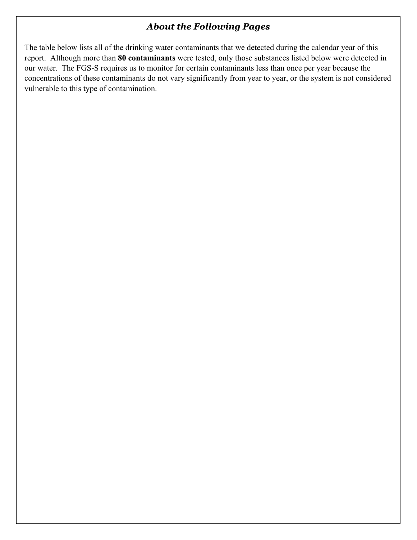#### *About the Following Pages*

The table below lists all of the drinking water contaminants that we detected during the calendar year of this report. Although more than **80 contaminants** were tested, only those substances listed below were detected in our water. The FGS-S requires us to monitor for certain contaminants less than once per year because the concentrations of these contaminants do not vary significantly from year to year, or the system is not considered vulnerable to this type of contamination.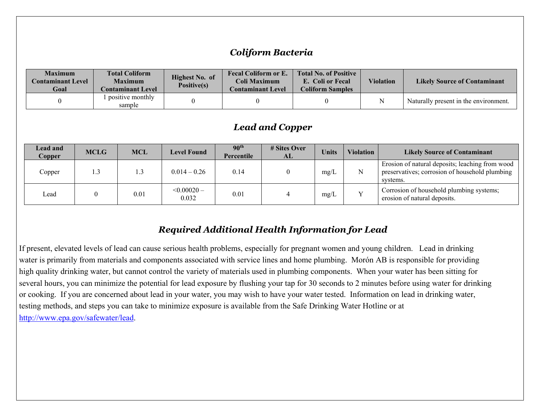#### *Coliform Bacteria*

| <b>Maximum</b><br><b>Contaminant Level</b><br>Goal | <b>Total Coliform</b><br><b>Maximum</b><br><b>Contaminant Level</b> | Highest No. of<br>Positive(s) | <b>Fecal Coliform or E.</b><br>Coli Maximum<br><b>Contaminant Level</b> | <b>Total No. of Positive</b><br>E. Coli or Fecal<br><b>Coliform Samples</b> | <b>Violation</b> | <b>Likely Source of Contaminant</b>   |
|----------------------------------------------------|---------------------------------------------------------------------|-------------------------------|-------------------------------------------------------------------------|-----------------------------------------------------------------------------|------------------|---------------------------------------|
|                                                    | l positive monthly<br>sample                                        |                               |                                                                         |                                                                             | N                | Naturally present in the environment. |

#### *Lead and Copper*

| <b>Lead and</b><br>Copper | <b>MCLG</b> | <b>MCL</b> | <b>Level Found</b>        | 90 <sup>th</sup><br>Percentile | # Sites Over<br>AL | <b>Units</b> | <b>Violation</b> | <b>Likely Source of Contaminant</b>                                                                           |
|---------------------------|-------------|------------|---------------------------|--------------------------------|--------------------|--------------|------------------|---------------------------------------------------------------------------------------------------------------|
| Copper                    | 1.3         |            | $0.014 - 0.26$            | 0.14                           |                    | mg/L         |                  | Erosion of natural deposits; leaching from wood<br>preservatives; corrosion of household plumbing<br>systems. |
| Lead                      |             | 0.01       | $\leq 0.00020 -$<br>0.032 | 0.01                           |                    | mg/L         |                  | Corrosion of household plumbing systems;<br>erosion of natural deposits.                                      |

#### *Required Additional Health Information for Lead*

If present, elevated levels of lead can cause serious health problems, especially for pregnant women and young children. Lead in drinking water is primarily from materials and components associated with service lines and home plumbing. Morón AB is responsible for providing high quality drinking water, but cannot control the variety of materials used in plumbing components. When your water has been sitting for several hours, you can minimize the potential for lead exposure by flushing your tap for 30 seconds to 2 minutes before using water for drinking or cooking. If you are concerned about lead in your water, you may wish to have your water tested. Information on lead in drinking water, testing methods, and steps you can take to minimize exposure is available from the Safe Drinking Water Hotline or at [http://www.epa.gov/safewater/lead.](http://www.epa.gov/safewater/lead)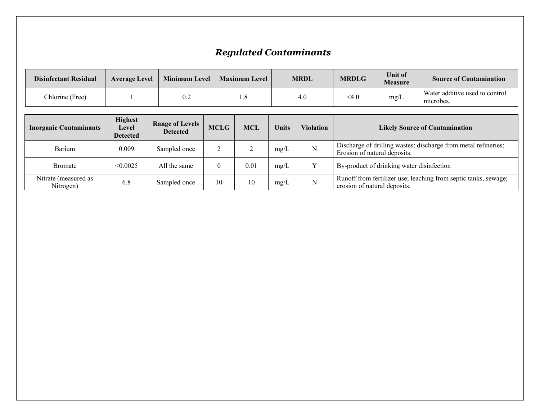## *Regulated Contaminants*

| <b>Disinfectant Residual</b> | <b>Average Level</b> | Minimum Level | <b>Maximum Level</b> | <b>MRDL</b> | <b>MRDLG</b> | Unit of<br><b>Measure</b> | <b>Source of Contamination</b>              |
|------------------------------|----------------------|---------------|----------------------|-------------|--------------|---------------------------|---------------------------------------------|
| Chlorine (Free)              |                      | 0.2           |                      | 4.0         | $<$ 4.0      | mg/L                      | Water additive used to control<br>microbes. |

| <b>Inorganic Contaminants</b>     | <b>Highest</b><br>Level<br><b>Detected</b> | <b>Range of Levels</b><br><b>Detected</b> | <b>MCLG</b> | <b>MCL</b> | Units | <b>Violation</b> | <b>Likely Source of Contamination</b>                                                           |
|-----------------------------------|--------------------------------------------|-------------------------------------------|-------------|------------|-------|------------------|-------------------------------------------------------------------------------------------------|
| Barium                            | 0.009                                      | Sampled once                              |             |            | mg/L  | N                | Discharge of drilling wastes; discharge from metal refineries;<br>Erosion of natural deposits.  |
| Bromate                           | < 0.0025                                   | All the same                              | $\theta$    | 0.01       | mg/L  |                  | By-product of drinking water disinfection                                                       |
| Nitrate (measured as<br>Nitrogen) | 6.8                                        | Sampled once                              | 10          | 10         | mg/L  | N                | Runoff from fertilizer use; leaching from septic tanks, sewage;<br>erosion of natural deposits. |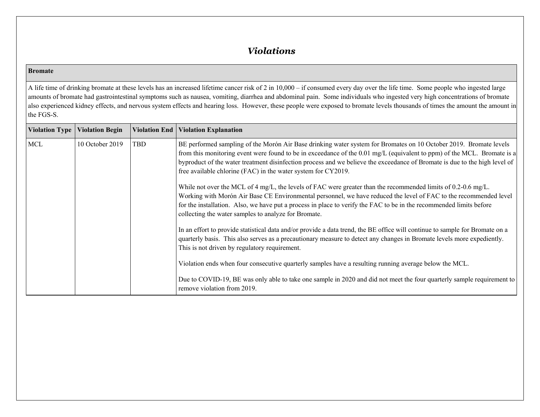#### *Violations*

#### **Bromate**

A life time of drinking bromate at these levels has an increased lifetime cancer risk of 2 in 10,000 – if consumed every day over the life time. Some people who ingested large amounts of bromate had gastrointestinal symptoms such as nausea, vomiting, diarrhea and abdominal pain. Some individuals who ingested very high concentrations of bromate also experienced kidney effects, and nervous system effects and hearing loss. However, these people were exposed to bromate levels thousands of times the amount the amount in the FGS-S.

| <b>Violation Type</b> | <b>Violation Begin</b> |     | Violation End   Violation Explanation                                                                                                                                                                                                                                                                                                                                                                                                       |
|-----------------------|------------------------|-----|---------------------------------------------------------------------------------------------------------------------------------------------------------------------------------------------------------------------------------------------------------------------------------------------------------------------------------------------------------------------------------------------------------------------------------------------|
| MCL                   | 10 October 2019        | TBD | BE performed sampling of the Morón Air Base drinking water system for Bromates on 10 October 2019. Bromate levels<br>from this monitoring event were found to be in exceedance of the 0.01 mg/L (equivalent to ppm) of the MCL. Bromate is a<br>byproduct of the water treatment disinfection process and we believe the exceedance of Bromate is due to the high level of<br>free available chlorine (FAC) in the water system for CY2019. |
|                       |                        |     | While not over the MCL of 4 mg/L, the levels of FAC were greater than the recommended limits of 0.2-0.6 mg/L.<br>Working with Morón Air Base CE Environmental personnel, we have reduced the level of FAC to the recommended level<br>for the installation. Also, we have put a process in place to verify the FAC to be in the recommended limits before<br>collecting the water samples to analyze for Bromate.                           |
|                       |                        |     | In an effort to provide statistical data and/or provide a data trend, the BE office will continue to sample for Bromate on a<br>quarterly basis. This also serves as a precautionary measure to detect any changes in Bromate levels more expediently.<br>This is not driven by regulatory requirement.                                                                                                                                     |
|                       |                        |     | Violation ends when four consecutive quarterly samples have a resulting running average below the MCL.                                                                                                                                                                                                                                                                                                                                      |
|                       |                        |     | Due to COVID-19, BE was only able to take one sample in 2020 and did not meet the four quarterly sample requirement to<br>remove violation from 2019.                                                                                                                                                                                                                                                                                       |